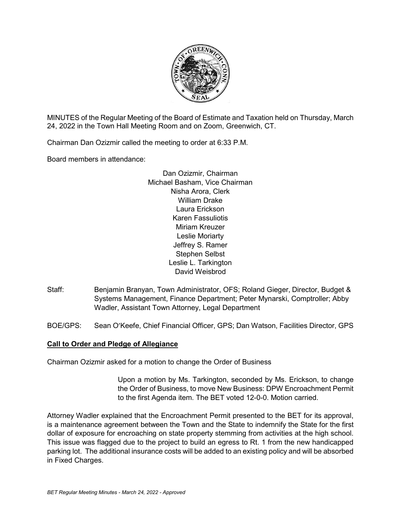

MINUTES of the Regular Meeting of the Board of Estimate and Taxation held on Thursday, March 24, 2022 in the Town Hall Meeting Room and on Zoom, Greenwich, CT.

Chairman Dan Ozizmir called the meeting to order at 6:33 P.M.

Board members in attendance:

Dan Ozizmir, Chairman Michael Basham, Vice Chairman Nisha Arora, Clerk William Drake Laura Erickson Karen Fassuliotis Miriam Kreuzer Leslie Moriarty Jeffrey S. Ramer Stephen Selbst Leslie L. Tarkington David Weisbrod

- Staff: Benjamin Branyan, Town Administrator, OFS; Roland Gieger, Director, Budget & Systems Management, Finance Department; Peter Mynarski, Comptroller; Abby Wadler, Assistant Town Attorney, Legal Department
- BOE/GPS: Sean O'Keefe, Chief Financial Officer, GPS; Dan Watson, Facilities Director, GPS

# **Call to Order and Pledge of Allegiance**

Chairman Ozizmir asked for a motion to change the Order of Business

Upon a motion by Ms. Tarkington, seconded by Ms. Erickson, to change the Order of Business, to move New Business: DPW Encroachment Permit to the first Agenda item. The BET voted 12-0-0. Motion carried.

Attorney Wadler explained that the Encroachment Permit presented to the BET for its approval, is a maintenance agreement between the Town and the State to indemnify the State for the first dollar of exposure for encroaching on state property stemming from activities at the high school. This issue was flagged due to the project to build an egress to Rt. 1 from the new handicapped parking lot. The additional insurance costs will be added to an existing policy and will be absorbed in Fixed Charges.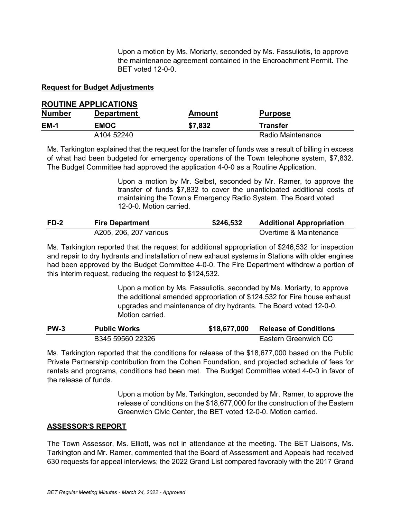Upon a motion by Ms. Moriarty, seconded by Ms. Fassuliotis, to approve the maintenance agreement contained in the Encroachment Permit. The BET voted 12-0-0.

# **Request for Budget Adjustments**

# **ROUTINE APPLICATIONS**

| <b>Number</b> | <b>Department</b> | <b>Amount</b> | <b>Purpose</b>    |  |
|---------------|-------------------|---------------|-------------------|--|
| <b>EM-1</b>   | <b>EMOC</b>       | \$7,832       | <b>Transfer</b>   |  |
|               | A104 52240        |               | Radio Maintenance |  |

Ms. Tarkington explained that the request for the transfer of funds was a result of billing in excess of what had been budgeted for emergency operations of the Town telephone system, \$7,832. The Budget Committee had approved the application 4-0-0 as a Routine Application.

> Upon a motion by Mr. Selbst, seconded by Mr. Ramer, to approve the transfer of funds \$7,832 to cover the unanticipated additional costs of maintaining the Town's Emergency Radio System. The Board voted 12-0-0. Motion carried.

| $FD-2$ | <b>Fire Department</b> | \$246,532 | <b>Additional Appropriation</b> |
|--------|------------------------|-----------|---------------------------------|
|        | A205, 206, 207 various |           | Overtime & Maintenance          |

Ms. Tarkington reported that the request for additional appropriation of \$246,532 for inspection and repair to dry hydrants and installation of new exhaust systems in Stations with older engines had been approved by the Budget Committee 4-0-0. The Fire Department withdrew a portion of this interim request, reducing the request to \$124,532.

> Upon a motion by Ms. Fassuliotis, seconded by Ms. Moriarty, to approve the additional amended appropriation of \$124,532 for Fire house exhaust upgrades and maintenance of dry hydrants. The Board voted 12-0-0. Motion carried.

| <b>PW-3</b> | <b>Public Works</b> | \$18,677,000 | <b>Release of Conditions</b> |
|-------------|---------------------|--------------|------------------------------|
|             | B345 59560 22326    |              | Eastern Greenwich CC         |

Ms. Tarkington reported that the conditions for release of the \$18,677,000 based on the Public Private Partnership contribution from the Cohen Foundation, and projected schedule of fees for rentals and programs, conditions had been met. The Budget Committee voted 4-0-0 in favor of the release of funds.

> Upon a motion by Ms. Tarkington, seconded by Mr. Ramer, to approve the release of conditions on the \$18,677,000 for the construction of the Eastern Greenwich Civic Center, the BET voted 12-0-0. Motion carried.

# **ASSESSOR'S REPORT**

The Town Assessor, Ms. Elliott, was not in attendance at the meeting. The BET Liaisons, Ms. Tarkington and Mr. Ramer, commented that the Board of Assessment and Appeals had received 630 requests for appeal interviews; the 2022 Grand List compared favorably with the 2017 Grand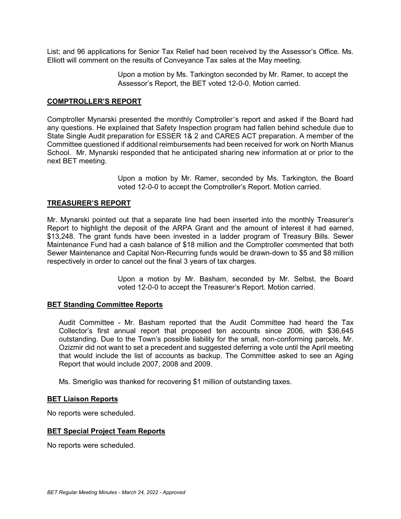List; and 96 applications for Senior Tax Relief had been received by the Assessor's Office. Ms. Elliott will comment on the results of Conveyance Tax sales at the May meeting.

> Upon a motion by Ms. Tarkington seconded by Mr. Ramer, to accept the Assessor's Report, the BET voted 12-0-0. Motion carried.

#### **COMPTROLLER'S REPORT**

Comptroller Mynarski presented the monthly Comptroller's report and asked if the Board had any questions. He explained that Safety Inspection program had fallen behind schedule due to State Single Audit preparation for ESSER 1& 2 and CARES ACT preparation. A member of the Committee questioned if additional reimbursements had been received for work on North Mianus School. Mr. Mynarski responded that he anticipated sharing new information at or prior to the next BET meeting.

> Upon a motion by Mr. Ramer, seconded by Ms. Tarkington, the Board voted 12-0-0 to accept the Comptroller's Report. Motion carried.

# **TREASURER'S REPORT**

Mr. Mynarski pointed out that a separate line had been inserted into the monthly Treasurer's Report to highlight the deposit of the ARPA Grant and the amount of interest it had earned, \$13,248. The grant funds have been invested in a ladder program of Treasury Bills. Sewer Maintenance Fund had a cash balance of \$18 million and the Comptroller commented that both Sewer Maintenance and Capital Non-Recurring funds would be drawn-down to \$5 and \$8 million respectively in order to cancel out the final 3 years of tax charges.

> Upon a motion by Mr. Basham, seconded by Mr. Selbst, the Board voted 12-0-0 to accept the Treasurer's Report. Motion carried.

#### **BET Standing Committee Reports**

Audit Committee - Mr. Basham reported that the Audit Committee had heard the Tax Collector's first annual report that proposed ten accounts since 2006, with \$36,645 outstanding. Due to the Town's possible liability for the small, non-conforming parcels, Mr. Ozizmir did not want to set a precedent and suggested deferring a vote until the April meeting that would include the list of accounts as backup. The Committee asked to see an Aging Report that would include 2007, 2008 and 2009.

Ms. Smeriglio was thanked for recovering \$1 million of outstanding taxes.

#### **BET Liaison Reports**

No reports were scheduled.

#### **BET Special Project Team Reports**

No reports were scheduled.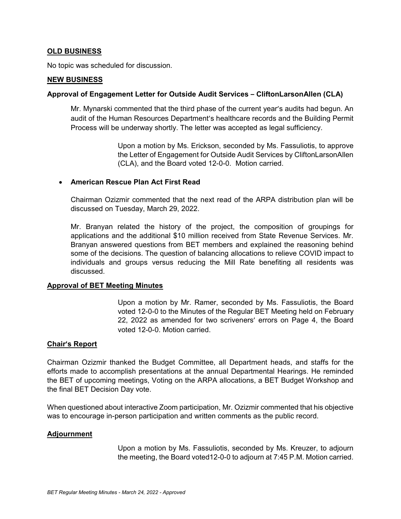# **OLD BUSINESS**

No topic was scheduled for discussion.

#### **NEW BUSINESS**

#### **Approval of Engagement Letter for Outside Audit Services – CliftonLarsonAllen (CLA)**

Mr. Mynarski commented that the third phase of the current year's audits had begun. An audit of the Human Resources Department's healthcare records and the Building Permit Process will be underway shortly. The letter was accepted as legal sufficiency.

> Upon a motion by Ms. Erickson, seconded by Ms. Fassuliotis, to approve the Letter of Engagement for Outside Audit Services by CliftonLarsonAllen (CLA), and the Board voted 12-0-0. Motion carried.

# • **American Rescue Plan Act First Read**

Chairman Ozizmir commented that the next read of the ARPA distribution plan will be discussed on Tuesday, March 29, 2022.

Mr. Branyan related the history of the project, the composition of groupings for applications and the additional \$10 million received from State Revenue Services. Mr. Branyan answered questions from BET members and explained the reasoning behind some of the decisions. The question of balancing allocations to relieve COVID impact to individuals and groups versus reducing the Mill Rate benefiting all residents was discussed.

#### **Approval of BET Meeting Minutes**

Upon a motion by Mr. Ramer, seconded by Ms. Fassuliotis, the Board voted 12-0-0 to the Minutes of the Regular BET Meeting held on February 22, 2022 as amended for two scriveners' errors on Page 4, the Board voted 12-0-0. Motion carried.

#### **Chair's Report**

Chairman Ozizmir thanked the Budget Committee, all Department heads, and staffs for the efforts made to accomplish presentations at the annual Departmental Hearings. He reminded the BET of upcoming meetings, Voting on the ARPA allocations, a BET Budget Workshop and the final BET Decision Day vote.

When questioned about interactive Zoom participation, Mr. Ozizmir commented that his objective was to encourage in-person participation and written comments as the public record.

#### **Adjournment**

Upon a motion by Ms. Fassuliotis, seconded by Ms. Kreuzer, to adjourn the meeting, the Board voted12-0-0 to adjourn at 7:45 P.M. Motion carried.